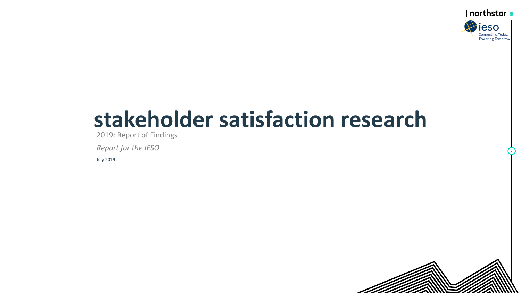

# **stakeholder satisfaction research**

2019: Report of Findings

*Report for the IESO* 

July 2019

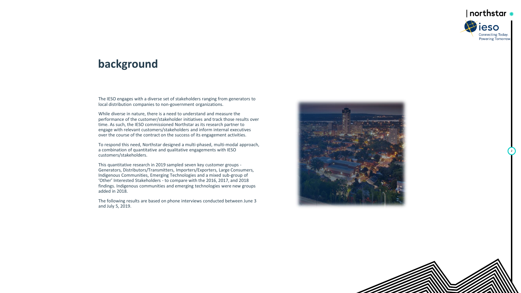

## **background**

The IESO engages with a diverse set of stakeholders ranging from generators to local distribution companies to non -government organizations.

While diverse in nature, there is a need to understand and measure the performance of the customer/stakeholder initiatives and track those results over time. As such, the IESO commissioned Northstar as its research partner to engage with relevant customers/stakeholders and inform internal executives over the course of the contract on the success of its engagement activities.

To respond this need, Northstar designed a multi -phased, multi -modal approach, a combination of quantitative and qualitative engagements with IESO customers/stakeholders.

This quantitative research in 2019 sampled seven key customer groups - Generators, Distributors/Transmitters, Importers/Exporters, Large Consumers, Indigenous Communities, Emerging Technologies and a mixed sub -group of 'Other' Interested Stakeholders - to compare with the 2016, 2017, and 2018 findings. Indigenous communities and emerging technologies were new groups added in 2018.

The following results are based on phone interviews conducted between June 3 and July 5, 2019.



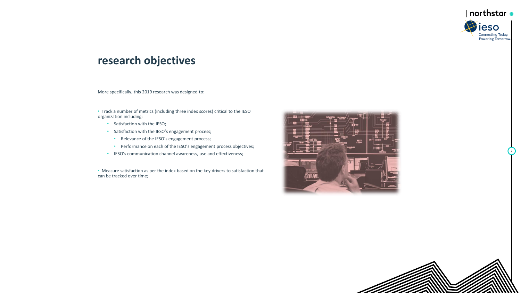

## **research objectives**

More specifically, this 2019 research was designed to:

• Track a number of metrics (including three index scores) critical to the IESO organization including:

- Satisfaction with the IESO;
- Satisfaction with the IESO's engagement process;
	- Relevance of the IESO's engagement process;
	- Performance on each of the IESO's engagement process objectives;
- IESO's communication channel awareness, use and effectiveness;

• Measure satisfaction as per the index based on the key drivers to satisfaction that can be tracked over time;



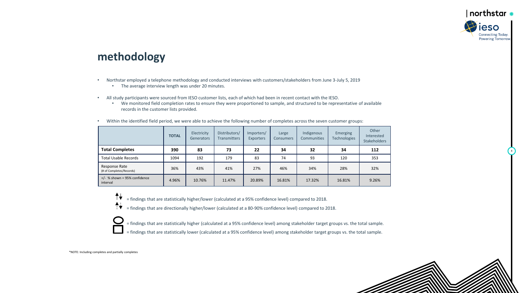#### $|$  northstar  $\ast$ ieso **Connecting Today. Powering Tomorrow**

4

## **methodology**

- Northstar employed a telephone methodology and conducted interviews with customers/stakeholders from June 3-July 5, 2019
	- The average interview length was under 20 minutes.
- All study participants were sourced from IESO customer lists, each of which had been in recent contact with the IESO.
	- We monitored field completion rates to ensure they were proportioned to sample, and structured to be representative of available records in the customer lists provided.

|                                            | <b>TOTAL</b> | Electricity<br>Generators | Distributors/<br><b>Transmitters</b> | Importers/<br><b>Exporters</b> | Large<br><b>Consumers</b> | Indigenous<br><b>Communities</b> | Emerging<br>Technologies | Other<br>Interested<br><b>Stakeholders</b> |
|--------------------------------------------|--------------|---------------------------|--------------------------------------|--------------------------------|---------------------------|----------------------------------|--------------------------|--------------------------------------------|
| <b>Total Completes</b>                     | 390          | 83                        | 73                                   | 22                             | 34                        | 32                               | 34                       | 112                                        |
| <b>Total Usable Records</b>                | 1094         | 192                       | 179                                  | 83                             | 74                        | 93                               | 120                      | 353                                        |
| Response Rate<br>(# of Completes/Records)  | 36%          | 43%                       | 41%                                  | 27%                            | 46%                       | 34%                              | 28%                      | 32%                                        |
| $+/-$ % shown = 95% confidence<br>interval | 4.96%        | 10.76%                    | 11.47%                               | 20.89%                         | 16.81%                    | 17.32%                           | 16.81%                   | 9.26%                                      |

• Within the identified field period, we were able to achieve the following number of completes across the seven customer groups:

↟↡ = findings that are statistically higher/lower (calculated at a 95% confidence level) compared to 2018.

- $\ddagger\ddagger$ = findings that are directionally higher/lower (calculated at a 80-90% confidence level) compared to 2018.
	- = findings that are statistically higher (calculated at a 95% confidence level) among stakeholder target groups vs. the total sample.
- = findings that are statistically lower (calculated at a 95% confidence level) among stakeholder target groups vs. the total sample.

\*NOTE: Including completes and partially completes

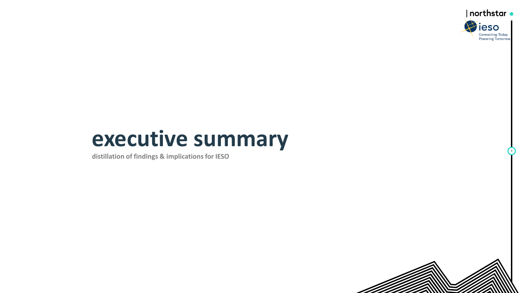

## **executive summary**

**distillation of findings & implications for IESO**

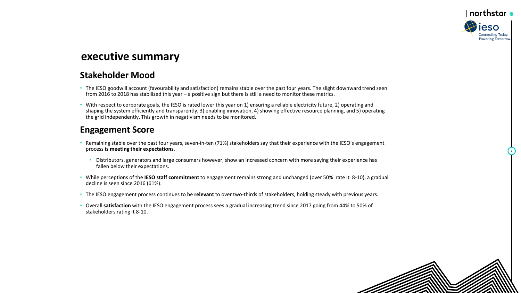

## **executive summary**

#### **Stakeholder Mood**

- The IESO goodwill account (favourability and satisfaction) remains stable over the past four years. The slight downward trend seen from 2016 to 2018 has stabilized this year – a positive sign but there is still a need to monitor these metrics.
- With respect to corporate goals, the IESO is rated lower this year on 1) ensuring a reliable electricity future, 2) operating and shaping the system efficiently and transparently, 3) enabling innovation, 4) showing effective resource planning, and 5) operating the grid independently. This growth in negativism needs to be monitored.

#### **Engagement Score**

- Remaining stable over the past four years, seven-in-ten (71%) stakeholders say that their experience with the IESO's engagement process **is meeting their expectations**.
	- Distributors, generators and large consumers however, show an increased concern with more saying their experience has fallen below their expectations.
- While perceptions of the **IESO staff commitment** to engagement remains strong and unchanged (over 50% rate it 8-10), a gradual decline is seen since 2016 (61%).
- The IESO engagement process continues to be **relevant** to over two-thirds of stakeholders, holding steady with previous years.
- Overall **satisfaction** with the IESO engagement process sees a gradual increasing trend since 2017 going from 44% to 50% of stakeholders rating it 8-10.

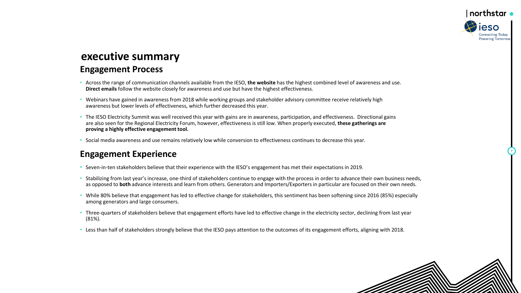## ∣ northstar ∗ **Connecting Today Powering Tomorrow**

7

## **executive summary Engagement Process**

- Across the range of communication channels available from the IESO, **the website** has the highest combined level of awareness and use. **Direct emails** follow the website closely for awareness and use but have the highest effectiveness.
- Webinars have gained in awareness from 2018 while working groups and stakeholder advisory committee receive relatively high awareness but lower levels of effectiveness, which further decreased this year.
- The IESO Electricity Summit was well received this year with gains are in awareness, participation, and effectiveness. Directional gains are also seen for the Regional Electricity Forum, however, effectiveness is still low. When properly executed, **these gatherings are proving a highly effective engagement tool.**
- Social media awareness and use remains relatively low while conversion to effectiveness continues to decrease this year.

#### **Engagement Experience**

- Seven-in-ten stakeholders believe that their experience with the IESO's engagement has met their expectations in 2019.
- Stabilizing from last year's increase, one-third of stakeholders continue to engage with the process in order to advance their own business needs, as opposed to **both** advance interests and learn from others. Generators and Importers/Exporters in particular are focused on their own needs.
- While 80% believe that engagement has led to effective change for stakeholders, this sentiment has been softening since 2016 (85%) especially among generators and large consumers.
- Three-quarters of stakeholders believe that engagement efforts have led to effective change in the electricity sector, declining from last year (81%).
- Less than half of stakeholders strongly believe that the IESO pays attention to the outcomes of its engagement efforts, aligning with 2018.

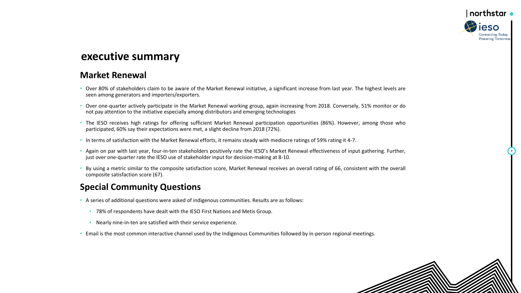

#### **executive summary**

#### **Market Renewal**

- Over 80% of stakeholders claim to be aware of the Market Renewal initiative, a significant increase from last year. The highest levels are seen among generators and importers/exporters.
- Over one-quarter actively participate in the Market Renewal working group, again increasing from 2018. Conversely, 51% monitor or do not pay attention to the initiative especially among distributors and emerging technologies
- The IESO receives high ratings for offering sufficient Market Renewal participation opportunities (86%). However, among those who participated, 60% say their expectations were met, a slight decline from 2018 (72%).
- In terms of satisfaction with the Market Renewal efforts, it remains steady with mediocre ratings of 59% rating it 4-7.
- Again on par with last year, four-in-ten stakeholders positively rate the IESO's Market Renewal effectiveness of input gathering. Further, just over one-quarter rate the IESO use of stakeholder input for decision-making at 8-10.
- By using a metric similar to the composite satisfaction score, Market Renewal receives an overall rating of 66, consistent with the overall composite satisfaction score (67).

#### **Special Community Questions**

- A series of additional questions were asked of indigenous communities. Results are as follows:
	- 78% of respondents have dealt with the IESO First Nations and Metis Group.
	- Nearly nine-in-ten are satisfied with their service experience.
- Email is the most common interactive channel used by the Indigenous Communities followed by in-person regional meetings.

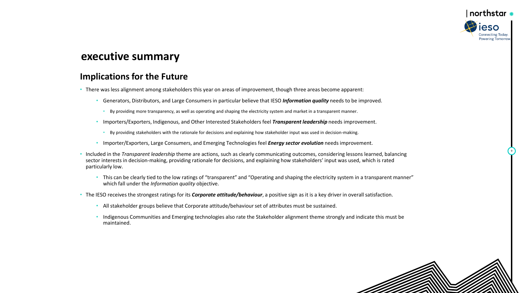

## **executive summary**

#### **Implications for the Future**

- There was less alignment among stakeholders this year on areas of improvement, though three areas become apparent:
	- Generators, Distributors, and Large Consumers in particular believe that IESO *Information quality* needs to be improved.
		- By providing more transparency, as well as operating and shaping the electricity system and market in a transparent manner.
	- Importers/Exporters, Indigenous, and Other Interested Stakeholders feel *Transparent leadership* needs improvement.
		- By providing stakeholders with the rationale for decisions and explaining how stakeholder input was used in decision-making.
	- Importer/Exporters, Large Consumers, and Emerging Technologies feel *Energy sector evolution* needs improvement.
- Included in the *Transparent leadership* theme are actions, such as clearly communicating outcomes, considering lessons learned, balancing sector interests in decision-making, providing rationale for decisions, and explaining how stakeholders' input was used, which is rated particularly low.
	- This can be clearly tied to the low ratings of "transparent" and "Operating and shaping the electricity system in a transparent manner" which fall under the *Information quality* objective.
- The IESO receives the strongest ratings for its *Corporate attitude/behaviour*, a positive sign as it is a key driver in overall satisfaction.
	- All stakeholder groups believe that Corporate attitude/behaviour set of attributes must be sustained.
	- Indigenous Communities and Emerging technologies also rate the Stakeholder alignment theme strongly and indicate this must be maintained.